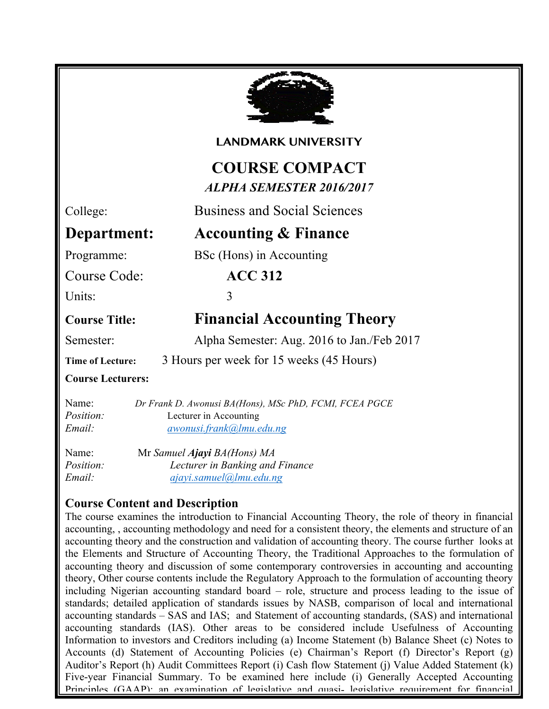

#### **LANDMARK UNIVERSITY**

## **COURSE COMPACT** *ALPHA SEMESTER 2016/2017*

College: Business and Social Sciences

## **Department: Accounting & Finance**

Programme: BSc (Hons) in Accounting

Course Code: **ACC 312**

Units: 3

# **Course Title: Financial Accounting Theory**

Semester: Alpha Semester: Aug. 2016 to Jan./Feb 2017

**Time of Lecture:** 3 Hours per week for 15 weeks (45 Hours)

#### **Course Lecturers:**

| Name:            | Dr Frank D. Awonusi BA(Hons), MSc PhD, FCMI, FCEA PGCE |
|------------------|--------------------------------------------------------|
| <i>Position:</i> | Lecturer in Accounting                                 |
| Email:           | $awonus$ . frank $@lmu$ . edu. ng                      |

| Name:            | Mr Samuel Ajayi BA(Hons) MA     |  |  |
|------------------|---------------------------------|--|--|
| <i>Position:</i> | Lecturer in Banking and Finance |  |  |
| Email:           | ajayi.samuel@]mu.edu.ng         |  |  |

## **Course Content and Description**

Information to investors and Creditors including (a) Income Statement (b) Balance Sheet (c) Notes to The course examines the introduction to Financial Accounting Theory, the role of theory in financial accounting, , accounting methodology and need for a consistent theory, the elements and structure of an accounting theory and the construction and validation of accounting theory. The course further looks at the Elements and Structure of Accounting Theory, the Traditional Approaches to the formulation of accounting theory and discussion of some contemporary controversies in accounting and accounting theory, Other course contents include the Regulatory Approach to the formulation of accounting theory including Nigerian accounting standard board – role, structure and process leading to the issue of standards; detailed application of standards issues by NASB, comparison of local and international accounting standards – SAS and IAS; and Statement of accounting standards, (SAS) and international accounting standards (IAS). Other areas to be considered include Usefulness of Accounting Accounts (d) Statement of Accounting Policies (e) Chairman's Report (f) Director's Report (g) Auditor's Report (h) Audit Committees Report (i) Cash flow Statement (j) Value Added Statement (k) Five-year Financial Summary. To be examined here include (i) Generally Accepted Accounting Principles (GAAP); an examination of legislative and quasi- legislative requirement for financial

statements and (ii) Accounting theory of income determination, tangible and intangible fixed assets,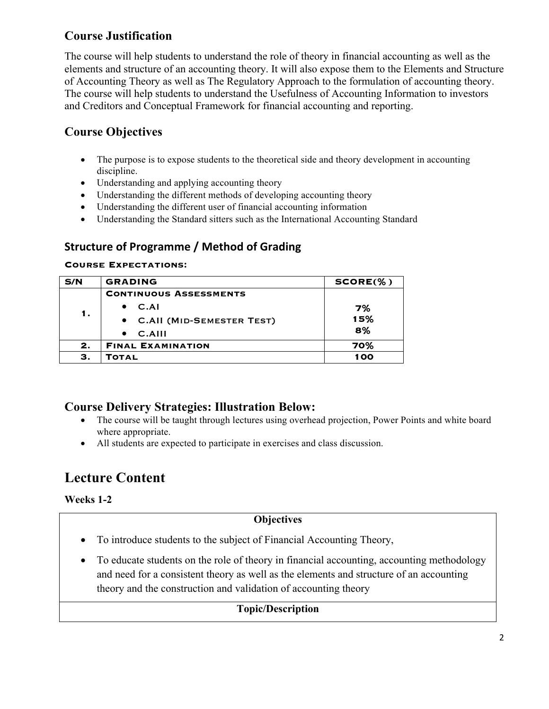## **Course Justification**

The course will help students to understand the role of theory in financial accounting as well as the elements and structure of an accounting theory. It will also expose them to the Elements and Structure of Accounting Theory as well as The Regulatory Approach to the formulation of accounting theory. The course will help students to understand the Usefulness of Accounting Information to investors and Creditors and Conceptual Framework for financial accounting and reporting.

## **Course Objectives**

- The purpose is to expose students to the theoretical side and theory development in accounting discipline.
- Understanding and applying accounting theory
- Understanding the different methods of developing accounting theory
- Understanding the different user of financial accounting information
- Understanding the Standard sitters such as the International Accounting Standard

## **Structure of Programme / Method of Grading**

#### **Course Expectations:**

| S/N | <b>GRADING</b>                | $SCORE(\%)$ |
|-----|-------------------------------|-------------|
| 1.  | <b>CONTINUOUS ASSESSMENTS</b> |             |
|     | C.AI                          | 7%          |
|     | • C.All (MID-SEMESTER TEST)   | 15%         |
|     | $C.$ AIII                     | 8%          |
| 2.  | <b>FINAL EXAMINATION</b>      | 70%         |
| з.  | <b>TOTAL</b>                  | 100         |

### **Course Delivery Strategies: Illustration Below:**

- The course will be taught through lectures using overhead projection, Power Points and white board where appropriate.
- All students are expected to participate in exercises and class discussion.

## **Lecture Content**

**Weeks 1-2**

#### **Objectives**

- To introduce students to the subject of Financial Accounting Theory,
- To educate students on the role of theory in financial accounting, accounting methodology and need for a consistent theory as well as the elements and structure of an accounting theory and the construction and validation of accounting theory

#### **Topic/Description**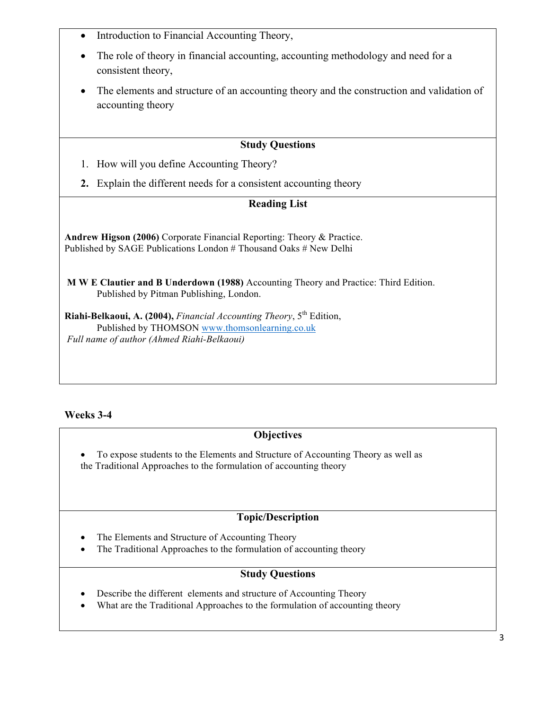- Introduction to Financial Accounting Theory,
- The role of theory in financial accounting, accounting methodology and need for a consistent theory,
- The elements and structure of an accounting theory and the construction and validation of accounting theory

#### **Study Questions**

- 1. How will you define Accounting Theory?
- **2.** Explain the different needs for a consistent accounting theory

#### **Reading List**

**Andrew Higson (2006)** Corporate Financial Reporting: Theory & Practice. Published by SAGE Publications London # Thousand Oaks # New Delhi

**M W E Clautier and B Underdown (1988)** Accounting Theory and Practice: Third Edition. Published by Pitman Publishing, London.

**Riahi-Belkaoui, A. (2004),** *Financial Accounting Theory*, 5<sup>th</sup> Edition, Published by THOMSON www.thomsonlearning.co.uk *Full name of author (Ahmed Riahi-Belkaoui)*

#### **Weeks 3-4**

#### **Objectives**

• To expose students to the Elements and Structure of Accounting Theory as well as the Traditional Approaches to the formulation of accounting theory

#### **Topic/Description**

- The Elements and Structure of Accounting Theory
- The Traditional Approaches to the formulation of accounting theory

#### **Study Questions**

- Describe the different elements and structure of Accounting Theory
- What are the Traditional Approaches to the formulation of accounting theory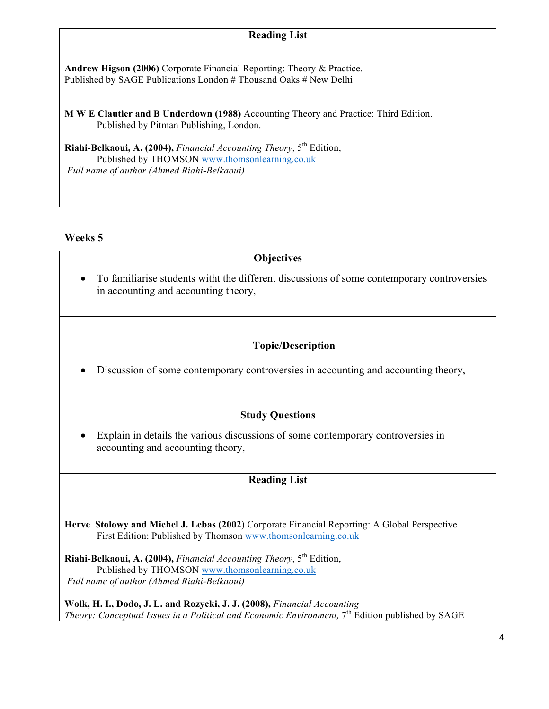### **Reading List**

**Andrew Higson (2006)** Corporate Financial Reporting: Theory & Practice. Published by SAGE Publications London # Thousand Oaks # New Delhi

**M W E Clautier and B Underdown (1988)** Accounting Theory and Practice: Third Edition. Published by Pitman Publishing, London.

Riahi-Belkaoui, A. (2004), *Financial Accounting Theory*, 5<sup>th</sup> Edition, Published by THOMSON www.thomsonlearning.co.uk *Full name of author (Ahmed Riahi-Belkaoui)*

#### **Weeks 5**

#### **Objectives**

• To familiarise students witht the different discussions of some contemporary controversies in accounting and accounting theory,

#### **Topic/Description**

• Discussion of some contemporary controversies in accounting and accounting theory,

#### **Study Questions**

• Explain in details the various discussions of some contemporary controversies in accounting and accounting theory,

#### **Reading List**

**Herve Stolowy and Michel J. Lebas (2002**) Corporate Financial Reporting: A Global Perspective First Edition: Published by Thomson www.thomsonlearning.co.uk

**Riahi-Belkaoui, A. (2004),** *Financial Accounting Theory*, 5<sup>th</sup> Edition, Published by THOMSON www.thomsonlearning.co.uk *Full name of author (Ahmed Riahi-Belkaoui)*

**Wolk, H. I., Dodo, J. L. and Rozycki, J. J. (2008),** *Financial Accounting Theory: Conceptual Issues in a Political and Economic Environment,* 7<sup>th</sup> Edition published by SAGE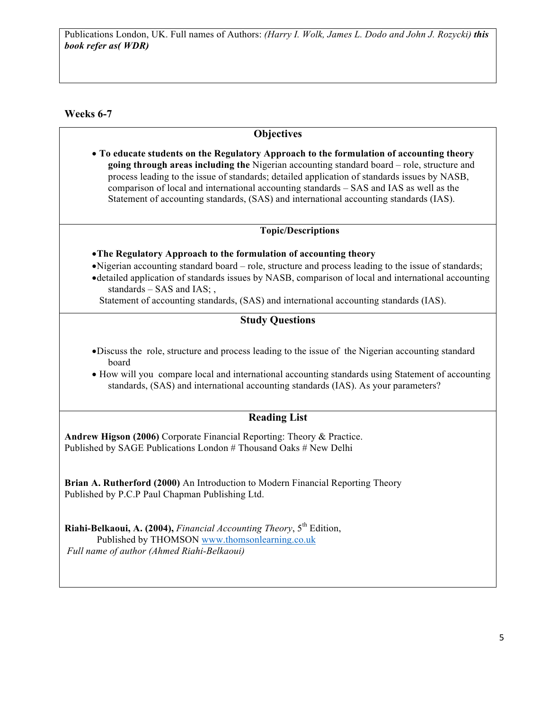#### **Weeks 6-7**

#### **Objectives**

• **To educate students on the Regulatory Approach to the formulation of accounting theory going through areas including the** Nigerian accounting standard board – role, structure and process leading to the issue of standards; detailed application of standards issues by NASB, comparison of local and international accounting standards – SAS and IAS as well as the Statement of accounting standards, (SAS) and international accounting standards (IAS).

#### **Topic/Descriptions**

#### •**The Regulatory Approach to the formulation of accounting theory**

- •Nigerian accounting standard board role, structure and process leading to the issue of standards;
- •detailed application of standards issues by NASB, comparison of local and international accounting standards – SAS and IAS; ,
	- Statement of accounting standards, (SAS) and international accounting standards (IAS).

#### **Study Questions**

- •Discuss the role, structure and process leading to the issue of the Nigerian accounting standard board
- How will you compare local and international accounting standards using Statement of accounting standards, (SAS) and international accounting standards (IAS). As your parameters?

#### **Reading List**

**Andrew Higson (2006)** Corporate Financial Reporting: Theory & Practice. Published by SAGE Publications London # Thousand Oaks # New Delhi

**Brian A. Rutherford (2000)** An Introduction to Modern Financial Reporting Theory Published by P.C.P Paul Chapman Publishing Ltd.

**Riahi-Belkaoui, A. (2004),** *Financial Accounting Theory*, 5<sup>th</sup> Edition, Published by THOMSON www.thomsonlearning.co.uk *Full name of author (Ahmed Riahi-Belkaoui)*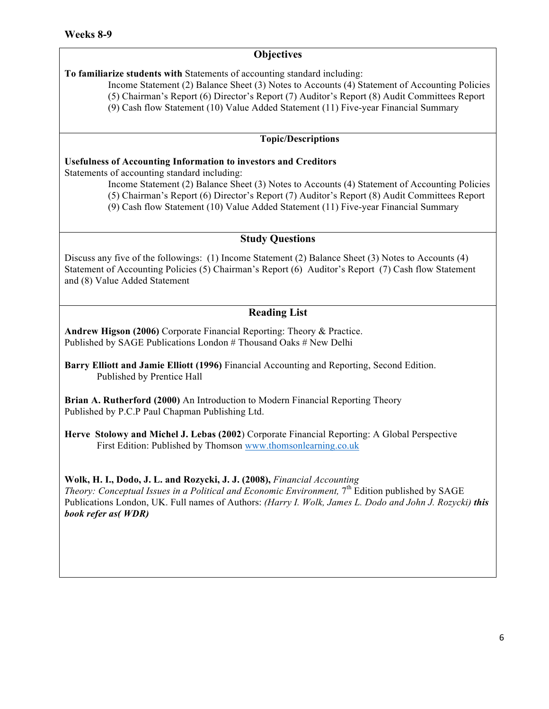**To familiarize students with** Statements of accounting standard including:

Income Statement (2) Balance Sheet (3) Notes to Accounts (4) Statement of Accounting Policies

(5) Chairman's Report (6) Director's Report (7) Auditor's Report (8) Audit Committees Report

(9) Cash flow Statement (10) Value Added Statement (11) Five-year Financial Summary

#### **Topic/Descriptions**

#### **Usefulness of Accounting Information to investors and Creditors**

Statements of accounting standard including:

Income Statement (2) Balance Sheet (3) Notes to Accounts (4) Statement of Accounting Policies

(5) Chairman's Report (6) Director's Report (7) Auditor's Report (8) Audit Committees Report

(9) Cash flow Statement (10) Value Added Statement (11) Five-year Financial Summary

#### **Study Questions**

Discuss any five of the followings: (1) Income Statement (2) Balance Sheet (3) Notes to Accounts (4) Statement of Accounting Policies (5) Chairman's Report (6) Auditor's Report (7) Cash flow Statement and (8) Value Added Statement

#### **Reading List**

**Andrew Higson (2006)** Corporate Financial Reporting: Theory & Practice. Published by SAGE Publications London # Thousand Oaks # New Delhi

**Barry Elliott and Jamie Elliott (1996)** Financial Accounting and Reporting, Second Edition. Published by Prentice Hall

**Brian A. Rutherford (2000)** An Introduction to Modern Financial Reporting Theory Published by P.C.P Paul Chapman Publishing Ltd.

**Herve Stolowy and Michel J. Lebas (2002**) Corporate Financial Reporting: A Global Perspective First Edition: Published by Thomson www.thomsonlearning.co.uk

#### **Wolk, H. I., Dodo, J. L. and Rozycki, J. J. (2008),** *Financial Accounting*

*Theory: Conceptual Issues in a Political and Economic Environment,* 7<sup>th</sup> Edition published by SAGE Publications London, UK. Full names of Authors: *(Harry I. Wolk, James L. Dodo and John J. Rozycki) this book refer as( WDR)*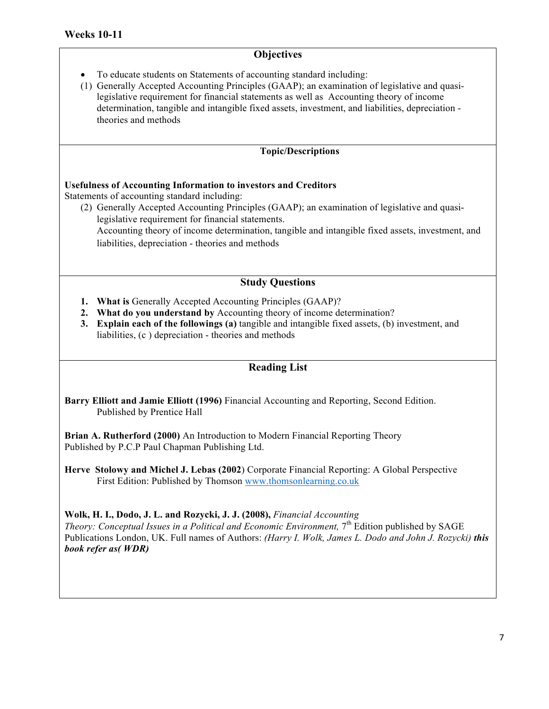• To educate students on Statements of accounting standard including:

(1) Generally Accepted Accounting Principles (GAAP); an examination of legislative and quasilegislative requirement for financial statements as well as Accounting theory of income determination, tangible and intangible fixed assets, investment, and liabilities, depreciation theories and methods

#### **Topic/Descriptions**

#### **Usefulness of Accounting Information to investors and Creditors**

Statements of accounting standard including:

(2) Generally Accepted Accounting Principles (GAAP); an examination of legislative and quasilegislative requirement for financial statements. Accounting theory of income determination, tangible and intangible fixed assets, investment, and liabilities, depreciation - theories and methods

#### **Study Questions**

- **1. What is** Generally Accepted Accounting Principles (GAAP)?
- **2. What do you understand by** Accounting theory of income determination?
- **3. Explain each of the followings (a)** tangible and intangible fixed assets, (b) investment, and liabilities, (c ) depreciation - theories and methods

#### **Reading List**

**Barry Elliott and Jamie Elliott (1996)** Financial Accounting and Reporting, Second Edition. Published by Prentice Hall

**Brian A. Rutherford (2000)** An Introduction to Modern Financial Reporting Theory Published by P.C.P Paul Chapman Publishing Ltd.

**Herve Stolowy and Michel J. Lebas (2002**) Corporate Financial Reporting: A Global Perspective First Edition: Published by Thomson www.thomsonlearning.co.uk

**Wolk, H. I., Dodo, J. L. and Rozycki, J. J. (2008),** *Financial Accounting* 

*Theory: Conceptual Issues in a Political and Economic Environment,* 7<sup>th</sup> Edition published by SAGE Publications London, UK. Full names of Authors: *(Harry I. Wolk, James L. Dodo and John J. Rozycki) this book refer as( WDR)*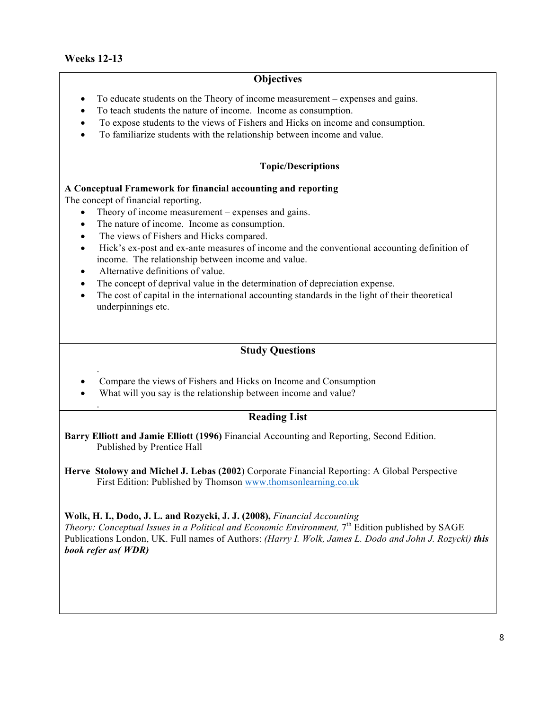.

.

#### **Objectives**

- To educate students on the Theory of income measurement expenses and gains.
- To teach students the nature of income. Income as consumption.
- To expose students to the views of Fishers and Hicks on income and consumption.
- To familiarize students with the relationship between income and value.

#### **Topic/Descriptions**

#### **A Conceptual Framework for financial accounting and reporting**

The concept of financial reporting.

- Theory of income measurement expenses and gains.
- The nature of income. Income as consumption.
- The views of Fishers and Hicks compared.
- Hick's ex-post and ex-ante measures of income and the conventional accounting definition of income. The relationship between income and value.
- Alternative definitions of value.
- The concept of deprival value in the determination of depreciation expense.
- The cost of capital in the international accounting standards in the light of their theoretical underpinnings etc.

#### **Study Questions**

- Compare the views of Fishers and Hicks on Income and Consumption
- What will you say is the relationship between income and value?

#### **Reading List**

**Barry Elliott and Jamie Elliott (1996)** Financial Accounting and Reporting, Second Edition. Published by Prentice Hall

**Herve Stolowy and Michel J. Lebas (2002**) Corporate Financial Reporting: A Global Perspective First Edition: Published by Thomson www.thomsonlearning.co.uk

#### **Wolk, H. I., Dodo, J. L. and Rozycki, J. J. (2008),** *Financial Accounting*

*Theory: Conceptual Issues in a Political and Economic Environment,* 7<sup>th</sup> Edition published by SAGE Publications London, UK. Full names of Authors: *(Harry I. Wolk, James L. Dodo and John J. Rozycki) this book refer as( WDR)*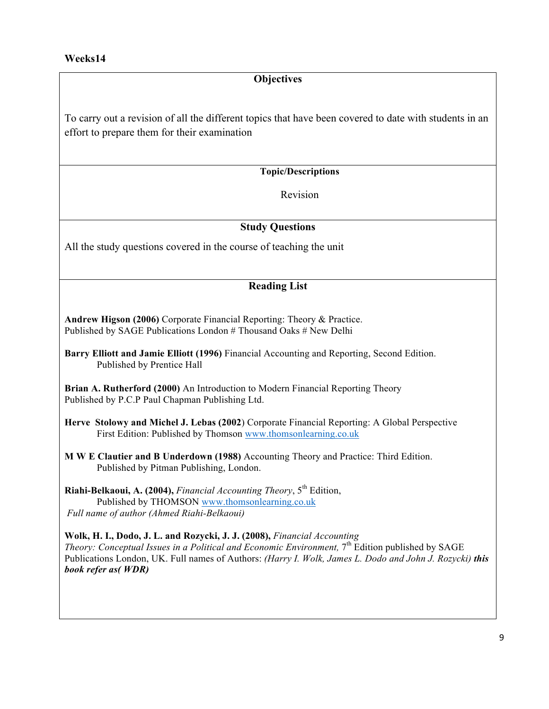To carry out a revision of all the different topics that have been covered to date with students in an effort to prepare them for their examination

**Topic/Descriptions**

Revision

#### **Study Questions**

All the study questions covered in the course of teaching the unit

#### **Reading List**

**Andrew Higson (2006)** Corporate Financial Reporting: Theory & Practice. Published by SAGE Publications London # Thousand Oaks # New Delhi

**Brian A. Rutherford (2000)** An Introduction to Modern Financial Reporting Theory Published by P.C.P Paul Chapman Publishing Ltd.

**Herve Stolowy and Michel J. Lebas (2002**) Corporate Financial Reporting: A Global Perspective First Edition: Published by Thomson www.thomsonlearning.co.uk

**M W E Clautier and B Underdown (1988)** Accounting Theory and Practice: Third Edition. Published by Pitman Publishing, London.

**Riahi-Belkaoui, A. (2004),** *Financial Accounting Theory*, 5<sup>th</sup> Edition, Published by THOMSON www.thomsonlearning.co.uk *Full name of author (Ahmed Riahi-Belkaoui)*

**Wolk, H. I., Dodo, J. L. and Rozycki, J. J. (2008),** *Financial Accounting Theory: Conceptual Issues in a Political and Economic Environment,* 7<sup>th</sup> Edition published by SAGE Publications London, UK. Full names of Authors: *(Harry I. Wolk, James L. Dodo and John J. Rozycki) this book refer as( WDR)*

**Barry Elliott and Jamie Elliott (1996)** Financial Accounting and Reporting, Second Edition. Published by Prentice Hall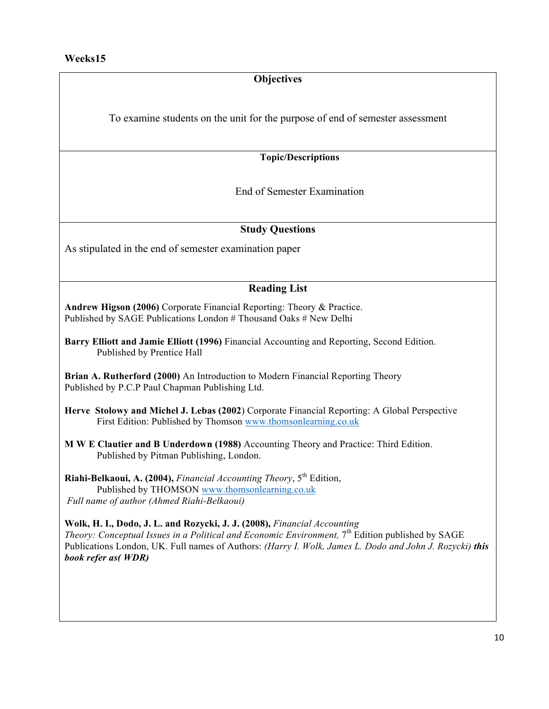To examine students on the unit for the purpose of end of semester assessment

**Topic/Descriptions**

End of Semester Examination

#### **Study Questions**

As stipulated in the end of semester examination paper

#### **Reading List**

**Andrew Higson (2006)** Corporate Financial Reporting: Theory & Practice. Published by SAGE Publications London # Thousand Oaks # New Delhi

**Barry Elliott and Jamie Elliott (1996)** Financial Accounting and Reporting, Second Edition. Published by Prentice Hall

**Brian A. Rutherford (2000)** An Introduction to Modern Financial Reporting Theory Published by P.C.P Paul Chapman Publishing Ltd.

**Herve Stolowy and Michel J. Lebas (2002**) Corporate Financial Reporting: A Global Perspective First Edition: Published by Thomson www.thomsonlearning.co.uk

**M W E Clautier and B Underdown (1988)** Accounting Theory and Practice: Third Edition. Published by Pitman Publishing, London.

**Riahi-Belkaoui, A. (2004),** *Financial Accounting Theory*, 5<sup>th</sup> Edition, Published by THOMSON www.thomsonlearning.co.uk *Full name of author (Ahmed Riahi-Belkaoui)*

**Wolk, H. I., Dodo, J. L. and Rozycki, J. J. (2008),** *Financial Accounting Theory: Conceptual Issues in a Political and Economic Environment,* 7<sup>th</sup> Edition published by SAGE Publications London, UK. Full names of Authors: *(Harry I. Wolk, James L. Dodo and John J. Rozycki) this book refer as( WDR)*